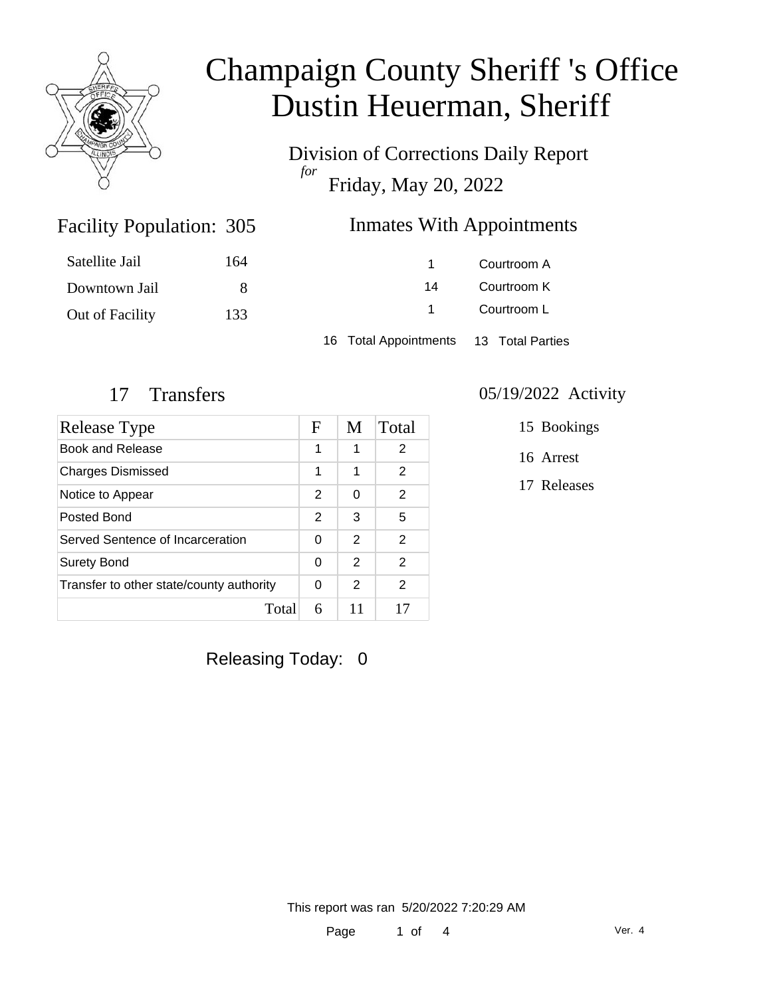

Division of Corrections Daily Report *for* Friday, May 20, 2022

### Inmates With Appointments

| Satellite Jail  | 164 |                                        | Courtroom A |
|-----------------|-----|----------------------------------------|-------------|
| Downtown Jail   |     | 14                                     | Courtroom K |
| Out of Facility | 133 |                                        | Courtroom L |
|                 |     | 16 Total Appointments 13 Total Parties |             |

Facility Population: 305

| Release Type                             | F | M | Total          |
|------------------------------------------|---|---|----------------|
| Book and Release                         | 1 | 1 | 2              |
| <b>Charges Dismissed</b>                 | 1 | 1 | $\overline{2}$ |
| Notice to Appear                         | 2 | 0 | $\mathcal{P}$  |
| Posted Bond                              | 2 | 3 | 5              |
| Served Sentence of Incarceration         |   | 2 | $\overline{2}$ |
| <b>Surety Bond</b>                       |   | 2 | $\mathcal{P}$  |
| Transfer to other state/county authority | 0 | 2 | 2              |
| Total                                    | 6 |   | 17             |

#### 17 Transfers 05/19/2022 Activity

15 Bookings

16 Arrest

17 Releases

Releasing Today: 0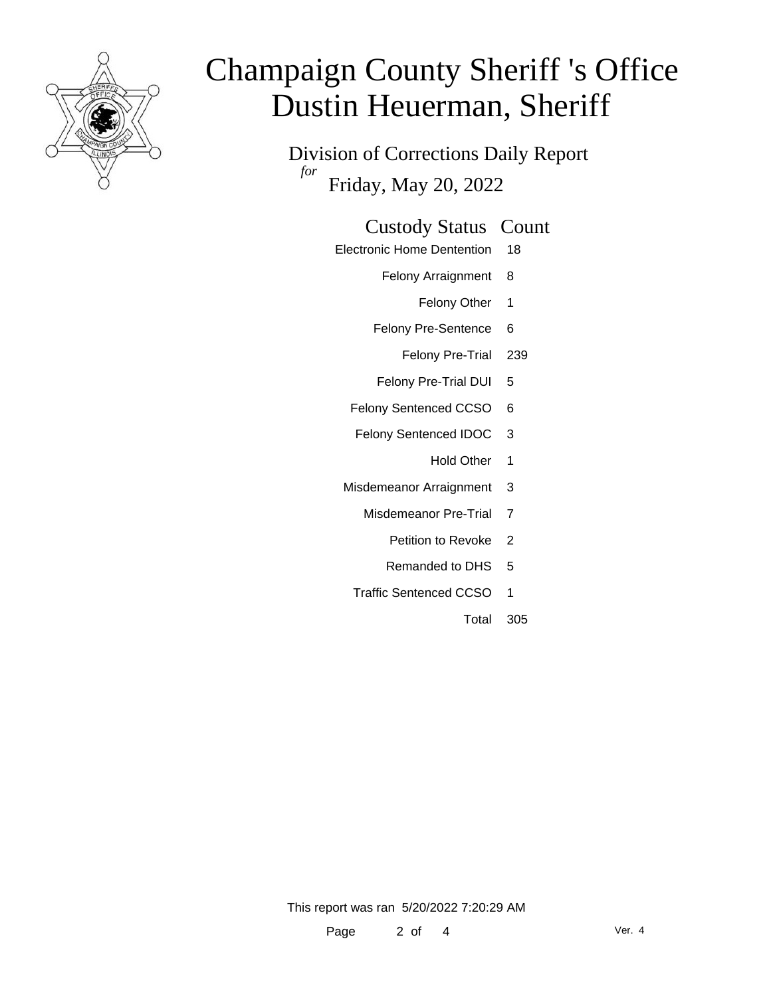

Division of Corrections Daily Report *for* Friday, May 20, 2022

#### Custody Status Count

- Electronic Home Dentention 18
	- Felony Arraignment 8
		- Felony Other 1
	- Felony Pre-Sentence 6
		- Felony Pre-Trial 239
	- Felony Pre-Trial DUI 5
	- Felony Sentenced CCSO 6
	- Felony Sentenced IDOC 3
		- Hold Other 1
	- Misdemeanor Arraignment 3
		- Misdemeanor Pre-Trial 7
			- Petition to Revoke 2
			- Remanded to DHS 5
		- Traffic Sentenced CCSO 1
			- Total 305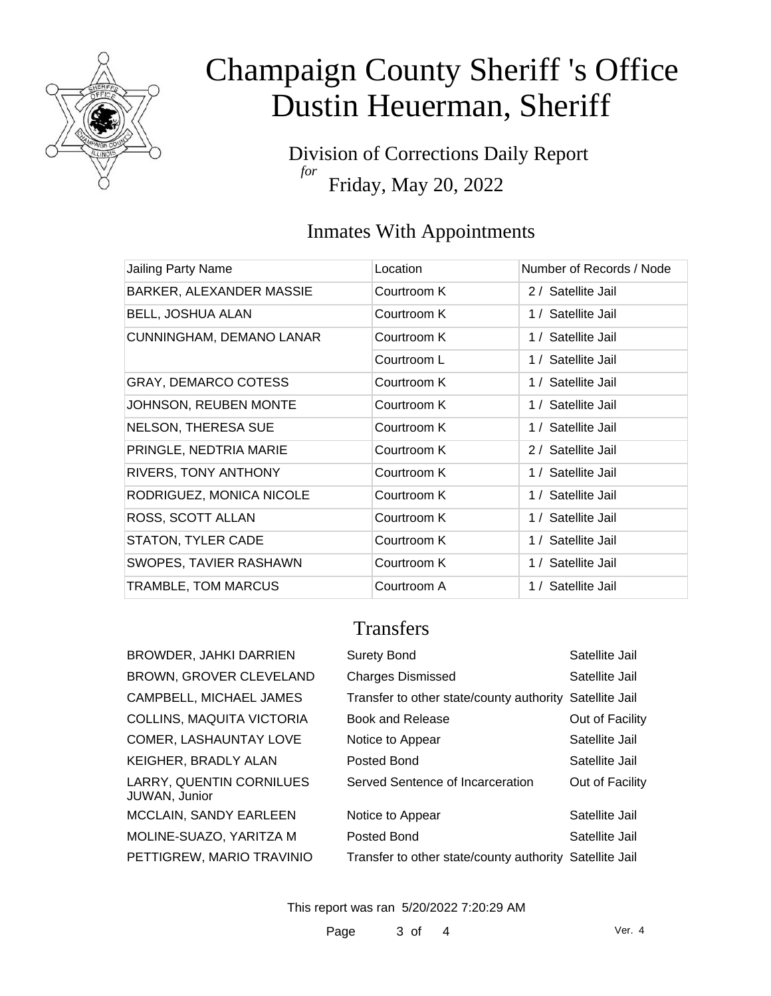

Division of Corrections Daily Report *for* Friday, May 20, 2022

### Inmates With Appointments

| <b>Jailing Party Name</b>   | Location    | Number of Records / Node |
|-----------------------------|-------------|--------------------------|
| BARKER, ALEXANDER MASSIE    | Courtroom K | 2 / Satellite Jail       |
| <b>BELL, JOSHUA ALAN</b>    | Courtroom K | 1 / Satellite Jail       |
| CUNNINGHAM, DEMANO LANAR    | Courtroom K | 1 / Satellite Jail       |
|                             | Courtroom L | 1 / Satellite Jail       |
| <b>GRAY, DEMARCO COTESS</b> | Courtroom K | 1 / Satellite Jail       |
| JOHNSON, REUBEN MONTE       | Courtroom K | 1 / Satellite Jail       |
| <b>NELSON, THERESA SUE</b>  | Courtroom K | 1 / Satellite Jail       |
| PRINGLE, NEDTRIA MARIE      | Courtroom K | 2 / Satellite Jail       |
| RIVERS, TONY ANTHONY        | Courtroom K | 1 / Satellite Jail       |
| RODRIGUEZ, MONICA NICOLE    | Courtroom K | 1 / Satellite Jail       |
| ROSS, SCOTT ALLAN           | Courtroom K | 1 / Satellite Jail       |
| <b>STATON, TYLER CADE</b>   | Courtroom K | 1 / Satellite Jail       |
| SWOPES, TAVIER RASHAWN      | Courtroom K | 1 / Satellite Jail       |
| TRAMBLE, TOM MARCUS         | Courtroom A | 1 / Satellite Jail       |

### **Transfers**

BROWDER, JAHKI DARRIEN BROWN, GROVER CLEVELAND CAMPBELL, MICHAEL JAMES COLLINS, MAQUITA VICTORIA COMER, LASHAUNTAY LOVE KEIGHER, BRADLY ALAN LARRY, QUENTIN CORNILUES JUWAN, Junior MCCLAIN, SANDY EARLEEN MOLINE-SUAZO, YARITZA M PETTIGREW, MARIO TRAVINIO

| Surety Bond                                             | Satellite Jail  |  |
|---------------------------------------------------------|-----------------|--|
| <b>Charges Dismissed</b>                                | Satellite Jail  |  |
| Transfer to other state/county authority Satellite Jail |                 |  |
| Book and Release                                        | Out of Facility |  |
| Notice to Appear                                        | Satellite Jail  |  |
| Posted Bond                                             | Satellite Jail  |  |
| Served Sentence of Incarceration                        | Out of Facility |  |
|                                                         |                 |  |
| Notice to Appear                                        | Satellite Jail  |  |
| Posted Bond                                             | Satellite Jail  |  |
| Transfer to other state/county authority Satellite Jail |                 |  |